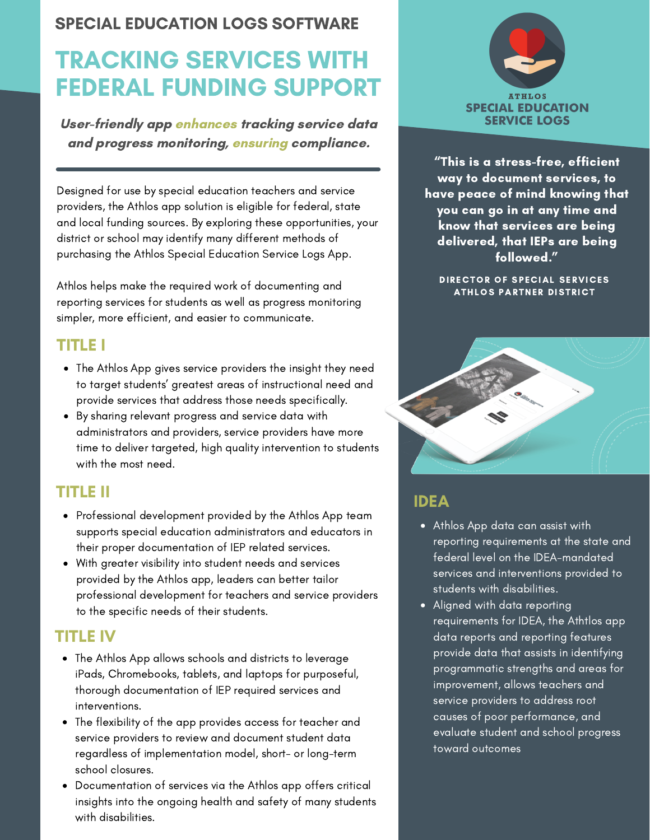#### SPECIAL EDUCATION LOGS SOFTWARE

## TRACKING SERVICES WITH FEDERAL FUNDING SUPPORT

User-friendly app enhances tracking service data and progress monitoring, ensuring compliance.

Designed for use by special education teachers and service providers, the Athlos app solution is eligible for federal, state and local funding sources. By exploring these opportunities, your district or school may identify many different methods of purchasing the Athlos Special Education Service Logs App.

Athlos helps make the required work of documenting and reporting services for students as well as progress monitoring simpler, more efficient, and easier to communicate.

#### TITLE I

- The Athlos App gives service providers the insight they need to target students' greatest areas of instructional need and provide services that address those needs specifically.
- By sharing relevant progress and service data with administrators and providers, service providers have more time to deliver targeted, high quality intervention to students with the most need.

#### TITLE II

- Professional development provided by the Athlos App team supports special education administrators and educators in their proper documentation of IEP related services.
- With greater visibility into student needs and services provided by the Athlos app, leaders can better tailor professional development for teachers and service providers to the specific needs of their students.

#### TITLE IV

- The Athlos App allows schools and districts to leverage iPads, Chromebooks, tablets, and laptops for purposeful, thorough documentation of IEP required services and interventions.
- The flexibility of the app provides access for teacher and service providers to review and document student data regardless of implementation model, short- or long-term school closures.
- $\bullet$ Documentation of services via the Athlos app offers critical insights into the ongoing health and safety of many students with disabilities.



"This is a stress-free, efficient way to document services, to have peace of mind knowing that you can go in at any time and know that services are being delivered, that IEPs are being followed."

DIRECTOR OF SPECIAL SERVICES ATHLOS PARTNER DISTRICT



#### IDEA

- Athlos App data can assist with reporting requirements at the state and federal level on the IDEA-mandated services and interventions provided to students with disabilities.
- Aligned with data reporting requirements for IDEA, the Athtlos app data reports and reporting features provide data that assists in identifying programmatic strengths and areas for improvement, allows teachers and service providers to address root causes of poor performance, and evaluate student and school progress toward outcomes